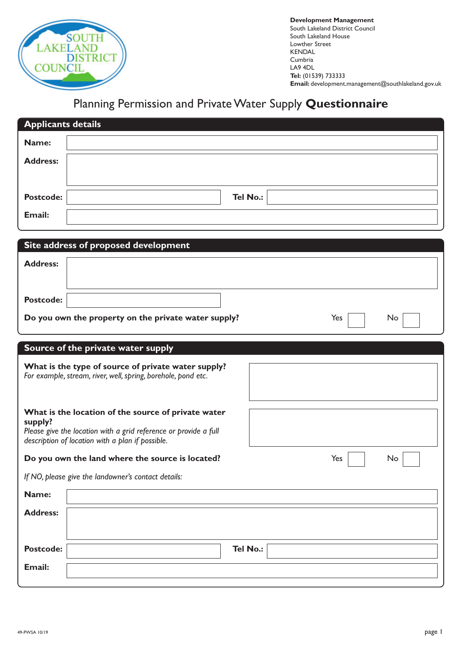

**Development Management** South Lakeland District Council South Lakeland House Lowther Street KENDAL Cumbria LA9 4DL **Tel:** (01539) 733333 **Email:** development.management@southlakeland.gov.uk

## Planning Permission and Private Water Supply **Questionnaire**

|                                                                                                                                    | <b>Applicants details</b>                                         |  |  |  |  |
|------------------------------------------------------------------------------------------------------------------------------------|-------------------------------------------------------------------|--|--|--|--|
| Name:                                                                                                                              |                                                                   |  |  |  |  |
| <b>Address:</b>                                                                                                                    |                                                                   |  |  |  |  |
|                                                                                                                                    |                                                                   |  |  |  |  |
| Postcode:                                                                                                                          | <b>Tel No.:</b>                                                   |  |  |  |  |
| <b>Email:</b>                                                                                                                      |                                                                   |  |  |  |  |
|                                                                                                                                    |                                                                   |  |  |  |  |
| <b>Address:</b>                                                                                                                    | Site address of proposed development                              |  |  |  |  |
|                                                                                                                                    |                                                                   |  |  |  |  |
| <b>Postcode:</b>                                                                                                                   |                                                                   |  |  |  |  |
|                                                                                                                                    | Do you own the property on the private water supply?<br>Yes<br>No |  |  |  |  |
|                                                                                                                                    |                                                                   |  |  |  |  |
|                                                                                                                                    | Source of the private water supply                                |  |  |  |  |
| What is the type of source of private water supply?<br>For example, stream, river, well, spring, borehole, pond etc.               |                                                                   |  |  |  |  |
| What is the location of the source of private water<br>supply?<br>Please give the location with a grid reference or provide a full |                                                                   |  |  |  |  |
|                                                                                                                                    | description of location with a plan if possible.                  |  |  |  |  |
|                                                                                                                                    |                                                                   |  |  |  |  |
|                                                                                                                                    | Yes<br>No<br>Do you own the land where the source is located?     |  |  |  |  |
|                                                                                                                                    | If NO, please give the landowner's contact details:               |  |  |  |  |
| Name:                                                                                                                              |                                                                   |  |  |  |  |
| <b>Address:</b>                                                                                                                    |                                                                   |  |  |  |  |
|                                                                                                                                    |                                                                   |  |  |  |  |
| Postcode:                                                                                                                          | Tel No.:                                                          |  |  |  |  |
| <b>Email:</b>                                                                                                                      |                                                                   |  |  |  |  |